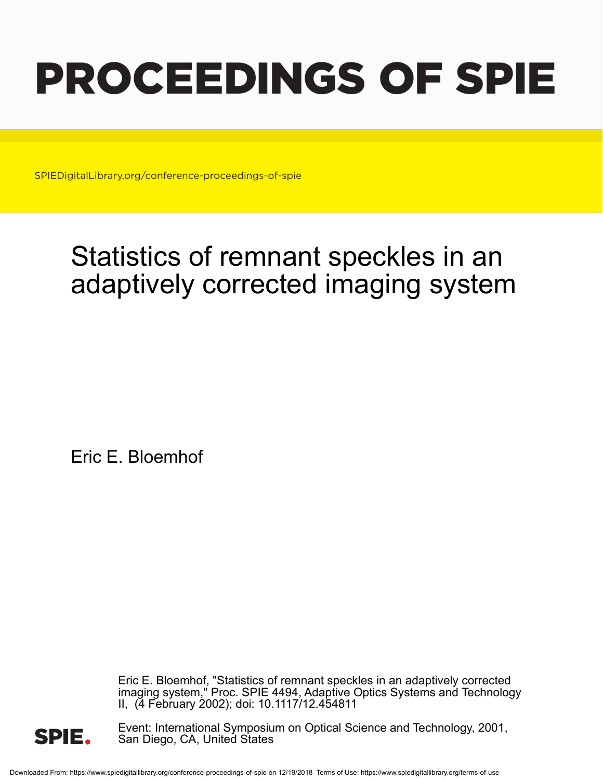# PROCEEDINGS OF SPIE

SPIEDigitalLibrary.org/conference-proceedings-of-spie

## Statistics of remnant speckles in an adaptively corrected imaging system

Eric E. Bloemhof

Eric E. Bloemhof, "Statistics of remnant speckles in an adaptively corrected imaging system," Proc. SPIE 4494, Adaptive Optics Systems and Technology II, (4 February 2002); doi: 10.1117/12.454811



Event: International Symposium on Optical Science and Technology, 2001, San Diego, CA, United States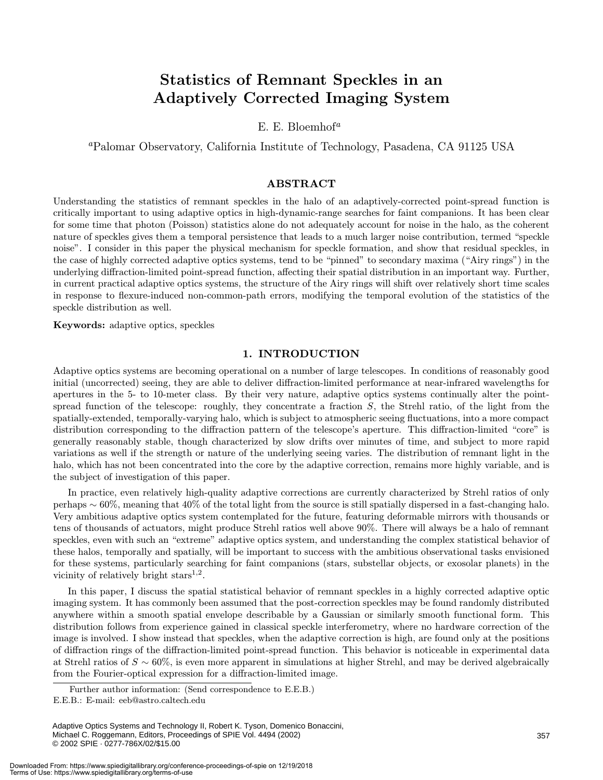### Statistics of Remnant Speckles in an Adaptively Corrected Imaging System

E. E. Bloemhof<sup>a</sup>

<sup>a</sup>Palomar Observatory, California Institute of Technology, Pasadena, CA 91125 USA

#### ABSTRACT

Understanding the statistics of remnant speckles in the halo of an adaptively-corrected point-spread function is critically important to using adaptive optics in high-dynamic-range searches for faint companions. It has been clear for some time that photon (Poisson) statistics alone do not adequately account for noise in the halo, as the coherent nature of speckles gives them a temporal persistence that leads to a much larger noise contribution, termed "speckle noise". I consider in this paper the physical mechanism for speckle formation, and show that residual speckles, in the case of highly corrected adaptive optics systems, tend to be "pinned" to secondary maxima ("Airy rings") in the underlying diffraction-limited point-spread function, affecting their spatial distribution in an important way. Further, in current practical adaptive optics systems, the structure of the Airy rings will shift over relatively short time scales in response to flexure-induced non-common-path errors, modifying the temporal evolution of the statistics of the speckle distribution as well.

Keywords: adaptive optics, speckles

#### 1. INTRODUCTION

Adaptive optics systems are becoming operational on a number of large telescopes. In conditions of reasonably good initial (uncorrected) seeing, they are able to deliver diffraction-limited performance at near-infrared wavelengths for apertures in the 5- to 10-meter class. By their very nature, adaptive optics systems continually alter the pointspread function of the telescope: roughly, they concentrate a fraction  $S$ , the Strehl ratio, of the light from the spatially-extended, temporally-varying halo, which is subject to atmospheric seeing fluctuations, into a more compact distribution corresponding to the diffraction pattern of the telescope's aperture. This diffraction-limited "core"is generally reasonably stable, though characterized by slow drifts over minutes of time, and subject to more rapid variations as well if the strength or nature of the underlying seeing varies. The distribution of remnant light in the halo, which has not been concentrated into the core by the adaptive correction, remains more highly variable, and is the subject of investigation of this paper.

In practice, even relatively high-quality adaptive corrections are currently characterized by Strehl ratios of only perhaps ∼ 60%, meaning that 40% of the total light from the source is still spatially dispersed in a fast-changing halo. Very ambitious adaptive optics system contemplated for the future, featuring deformable mirrors with thousands or tens of thousands of actuators, might produce Strehl ratios well above 90%. There will always be a halo of remnant speckles, even with such an "extreme" adaptive optics system, and understanding the complex statistical behavior of these halos, temporally and spatially, will be important to success with the ambitious observational tasks envisioned for these systems, particularly searching for faint companions (stars, substellar objects, or exosolar planets) in the vicinity of relatively bright stars<sup>1,2</sup>.

In this paper, I discuss the spatial statistical behavior of remnant speckles in a highly corrected adaptive optic imaging system. It has commonly been assumed that the post-correction speckles may be found randomly distributed anywhere within a smooth spatial envelope describable by a Gaussian or similarly smooth functional form. This distribution follows from experience gained in classical speckle interferometry, where no hardware correction of the image is involved. I show instead that speckles, when the adaptive correction is high, are found only at the positions of diffraction rings of the diffraction-limited point-spread function. This behavior is noticeable in experimental data at Strehl ratios of  $S \sim 60\%$ , is even more apparent in simulations at higher Strehl, and may be derived algebraically from the Fourier-optical expression for a diffraction-limited image.

Further author information: (Send correspondence to E.E.B.)

E.E.B.: E-mail: eeb@astro.caltech.edu

Adaptive Optics Systems and Technology II, Robert K. Tyson, Domenico Bonaccini, Michael C. Roggemann, Editors, Proceedings of SPIE Vol. 4494 (2002) © 2002 SPIE · 0277-786X/02/\$15.00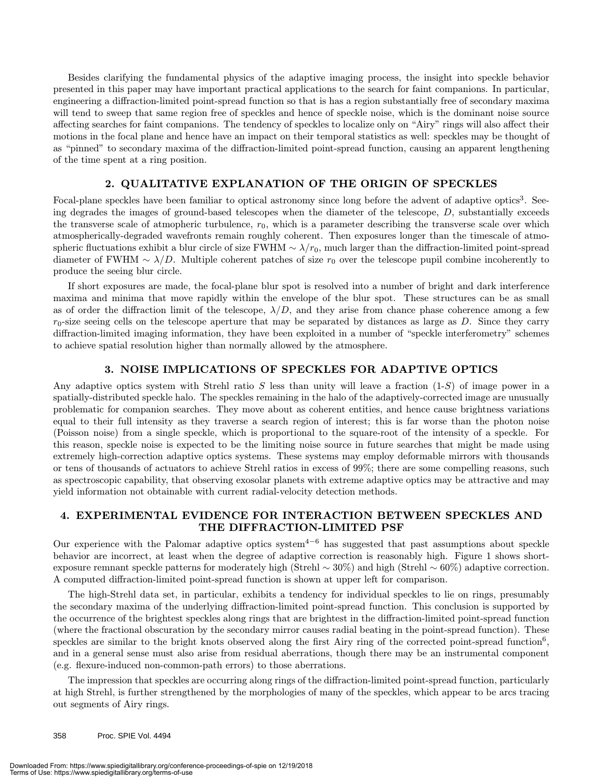Besides clarifying the fundamental physics of the adaptive imaging process, the insight into speckle behavior presented in this paper may have important practical applications to the search for faint companions. In particular, engineering a diffraction-limited point-spread function so that is has a region substantially free of secondary maxima will tend to sweep that same region free of speckles and hence of speckle noise, which is the dominant noise source affecting searches for faint companions. The tendency of speckles to localize only on "Airy"rings will also affect their motions in the focal plane and hence have an impact on their temporal statistics as well: speckles may be thought of as "pinned" to secondary maxima of the diffraction-limited point-spread function, causing an apparent lengthening of the time spent at a ring position.

#### 2. QUALITATIVE EXPLANATION OF THE ORIGIN OF SPECKLES

Focal-plane speckles have been familiar to optical astronomy since long before the advent of adaptive optics<sup>3</sup>. Seeing degrades the images of ground-based telescopes when the diameter of the telescope, D, substantially exceeds the transverse scale of atmopheric turbulence,  $r_0$ , which is a parameter describing the transverse scale over which atmospherically-degraded wavefronts remain roughly coherent. Then exposures longer than the timescale of atmospheric fluctuations exhibit a blur circle of size FWHM  $\sim \lambda/r_0$ , much larger than the diffraction-limited point-spread diameter of FWHM  $\sim \lambda/D$ . Multiple coherent patches of size  $r_0$  over the telescope pupil combine incoherently to produce the seeing blur circle.

If short exposures are made, the focal-plane blur spot is resolved into a number of bright and dark interference maxima and minima that move rapidly within the envelope of the blur spot. These structures can be as small as of order the diffraction limit of the telescope,  $\lambda/D$ , and they arise from chance phase coherence among a few  $r_0$ -size seeing cells on the telescope aperture that may be separated by distances as large as D. Since they carry diffraction-limited imaging information, they have been exploited in a number of "speckle interferometry" schemes to achieve spatial resolution higher than normally allowed by the atmosphere.

#### 3. NOISE IMPLICATIONS OF SPECKLES FOR ADAPTIVE OPTICS

Any adaptive optics system with Strehl ratio  $S$  less than unity will leave a fraction  $(1-S)$  of image power in a spatially-distributed speckle halo. The speckles remaining in the halo of the adaptively-corrected image are unusually problematic for companion searches. They move about as coherent entities, and hence cause brightness variations equal to their full intensity as they traverse a search region of interest; this is far worse than the photon noise (Poisson noise) from a single speckle, which is proportional to the square-root of the intensity of a speckle. For this reason, speckle noise is expected to be the limiting noise source in future searches that might be made using extremely high-correction adaptive optics systems. These systems may employ deformable mirrors with thousands or tens of thousands of actuators to achieve Strehl ratios in excess of 99%; there are some compelling reasons, such as spectroscopic capability, that observing exosolar planets with extreme adaptive optics may be attractive and may yield information not obtainable with current radial-velocity detection methods.

#### 4. EXPERIMENTAL EVIDENCE FOR INTERACTION BETWEEN SPECKLES AND THE DIFFRACTION-LIMITED PSF

Our experience with the Palomar adaptive optics system<sup>4-6</sup> has suggested that past assumptions about speckle behavior are incorrect, at least when the degree of adaptive correction is reasonably high. Figure 1 shows shortexposure remnant speckle patterns for moderately high (Strehl  $\sim$  30%) and high (Strehl  $\sim$  60%) adaptive correction. A computed diffraction-limited point-spread function is shown at upper left for comparison.

The high-Strehl data set, in particular, exhibits a tendency for individual speckles to lie on rings, presumably the secondary maxima of the underlying diffraction-limited point-spread function. This conclusion is supported by the occurrence of the brightest speckles along rings that are brightest in the diffraction-limited point-spread function (where the fractional obscuration by the secondary mirror causes radial beating in the point-spread function). These speckles are similar to the bright knots observed along the first Airy ring of the corrected point-spread function<sup>6</sup>, and in a general sense must also arise from residual aberrations, though there may be an instrumental component (e.g. flexure-induced non-common-path errors) to those aberrations.

The impression that speckles are occurring along rings of the diffraction-limited point-spread function, particularly at high Strehl, is further strengthened by the morphologies of many of the speckles, which appear to be arcs tracing out segments of Airy rings.

358 Proc. SPIE Vol. 4494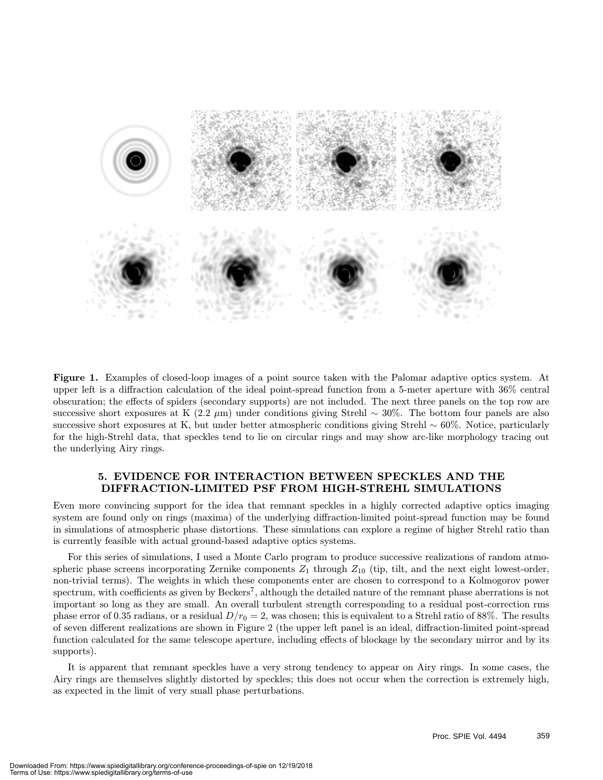

Figure 1. Examples of closed-loop images of a point source taken with the Palomar adaptive optics system. At upper left is a diffraction calculation of the ideal point-spread function from a 5-meter aperture with 36% central obscuration; the effects of spiders (secondary supports) are not included. The next three panels on the top row are successive short exposures at K  $(2.2 \mu m)$  under conditions giving Strehl ~ 30%. The bottom four panels are also successive short exposures at K, but under better atmospheric conditions giving Strehl  $\sim 60\%$ . Notice, particularly for the high-Strehl data, that speckles tend to lie on circular rings and may show arc-like morphology tracing out the underlying Airy rings.

#### 5. EVIDENCE FOR INTERACTION BETWEEN SPECKLES AND THE DIFFRACTION-LIMITED PSF FROM HIGH-STREHL SIMULATIONS

Even more convincing support for the idea that remnant speckles in a highly corrected adaptive optics imaging system are found only on rings (maxima) of the underlying diffraction-limited point-spread function may be found in simulations of atmospheric phase distortions. These simulations can explore a regime of higher Strehl ratio than is currently feasible with actual ground-based adaptive optics systems.

For this series of simulations, I used a Monte Carlo program to produce successive realizations of random atmospheric phase screens incorporating Zernike components  $Z_1$  through  $Z_{10}$  (tip, tilt, and the next eight lowest-order, non-trivial terms). The weights in which these components enter are chosen to correspond to a Kolmogorov power spectrum, with coefficients as given by Beckers7, although the detailed nature of the remnant phase aberrations is not important so long as they are small. An overall turbulent strength corresponding to a residual post-correction rms phase error of 0.35 radians, or a residual  $D/r_0 = 2$ , was chosen; this is equivalent to a Strehl ratio of 88%. The results of seven different realizations are shown in Figure 2 (the upper left panel is an ideal, diffraction-limited point-spread function calculated for the same telescope aperture, including effects of blockage by the secondary mirror and by its supports).

It is apparent that remnant speckles have a very strong tendency to appear on Airy rings. In some cases, the Airy rings are themselves slightly distorted by speckles; this does not occur when the correction is extremely high, as expected in the limit of very small phase perturbations.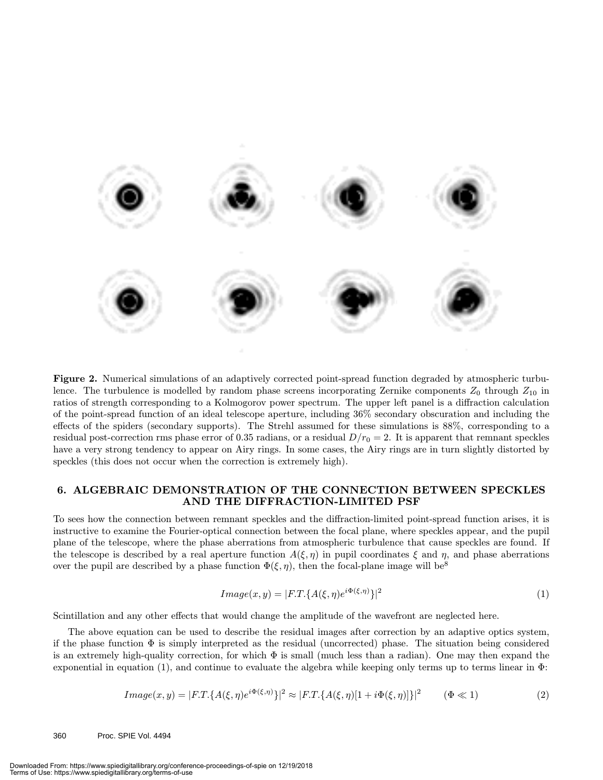

Figure 2. Numerical simulations of an adaptively corrected point-spread function degraded by atmospheric turbulence. The turbulence is modelled by random phase screens incorporating Zernike components  $Z_0$  through  $Z_{10}$  in ratios of strength corresponding to a Kolmogorov power spectrum. The upper left panel is a diffraction calculation of the point-spread function of an ideal telescope aperture, including 36% secondary obscuration and including the effects of the spiders (secondary supports). The Strehl assumed for these simulations is 88%, corresponding to a residual post-correction rms phase error of 0.35 radians, or a residual  $D/r_0 = 2$ . It is apparent that remnant speckles have a very strong tendency to appear on Airy rings. In some cases, the Airy rings are in turn slightly distorted by speckles (this does not occur when the correction is extremely high).

#### 6. ALGEBRAIC DEMONSTRATION OF THE CONNECTION BETWEEN SPECKLES AND THE DIFFRACTION-LIMITED PSF

To sees how the connection between remnant speckles and the diffraction-limited point-spread function arises, it is instructive to examine the Fourier-optical connection between the focal plane, where speckles appear, and the pupil plane of the telescope, where the phase aberrations from atmospheric turbulence that cause speckles are found. If the telescope is described by a real aperture function  $A(\xi,\eta)$  in pupil coordinates  $\xi$  and  $\eta$ , and phase aberrations over the pupil are described by a phase function  $\Phi(\xi, \eta)$ , then the focal-plane image will be<sup>8</sup>

$$
Image(x, y) = |F \cdot T \cdot \{A(\xi, \eta)e^{i\Phi(\xi, \eta)}\}|^2 \tag{1}
$$

Scintillation and any other effects that would change the amplitude of the wavefront are neglected here.

The above equation can be used to describe the residual images after correction by an adaptive optics system, if the phase function Φ is simply interpreted as the residual (uncorrected) phase. The situation being considered is an extremely high-quality correction, for which Φ is small (much less than a radian). One may then expand the exponential in equation (1), and continue to evaluate the algebra while keeping only terms up to terms linear in Φ:

$$
Image(x, y) = |F.T.\{A(\xi, \eta)e^{i\Phi(\xi, \eta)}\}|^2 \approx |F.T.\{A(\xi, \eta)[1 + i\Phi(\xi, \eta)]\}|^2 \qquad (\Phi \ll 1)
$$
\n(2)

360 Proc. SPIE Vol. 4494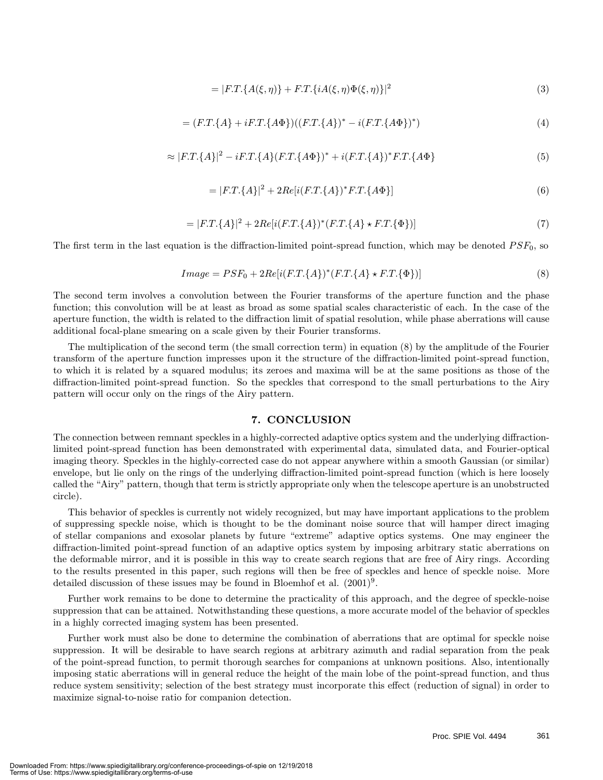$$
= |F.T.\{A(\xi,\eta)\} + F.T.\{iA(\xi,\eta)\Phi(\xi,\eta)\}|^2
$$
\n(3)

$$
= (F.T.\{A\} + iF.T.\{A\Phi\})((F.T.\{A\})^* - i(F.T.\{A\Phi\})^*)
$$
\n(4)

$$
\approx |F.T.\{A\}|^2 - iF.T.\{A\}(F.T.\{A\Phi\})^* + i(F.T.\{A\})^* F.T.\{A\Phi\} \tag{5}
$$

$$
= |F.T.\{A\}|^2 + 2Re[i(F.T.\{A\})^*F.T.\{A\Phi\}]
$$
\n(6)

$$
= |F.T.\{A\}|^2 + 2Re[i(F.T.\{A\})^*(F.T.\{A\} \star F.T.\{\Phi\})]
$$
\n(7)

The first term in the last equation is the diffraction-limited point-spread function, which may be denoted  $PSF_0$ , so

$$
Image = PSF_0 + 2Re[i(F.T.\{A\})^*(F.T.\{A\} \star F.T.\{\Phi\})]
$$
\n(8)

The second term involves a convolution between the Fourier transforms of the aperture function and the phase function; this convolution will be at least as broad as some spatial scales characteristic of each. In the case of the aperture function, the width is related to the diffraction limit of spatial resolution, while phase aberrations will cause additional focal-plane smearing on a scale given by their Fourier transforms.

The multiplication of the second term (the small correction term) in equation (8) by the amplitude of the Fourier transform of the aperture function impresses upon it the structure of the diffraction-limited point-spread function, to which it is related by a squared modulus; its zeroes and maxima will be at the same positions as those of the diffraction-limited point-spread function. So the speckles that correspond to the small perturbations to the Airy pattern will occur only on the rings of the Airy pattern.

#### 7. CONCLUSION

The connection between remnant speckles in a highly-corrected adaptive optics system and the underlying diffractionlimited point-spread function has been demonstrated with experimental data, simulated data, and Fourier-optical imaging theory. Speckles in the highly-corrected case do not appear anywhere within a smooth Gaussian (or similar) envelope, but lie only on the rings of the underlying diffraction-limited point-spread function (which is here loosely called the "Airy"pattern, though that term is strictly appropriate only when the telescope aperture is an unobstructed circle).

This behavior of speckles is currently not widely recognized, but may have important applications to the problem of suppressing speckle noise, which is thought to be the dominant noise source that will hamper direct imaging of stellar companions and exosolar planets by future "extreme"adaptive optics systems. One may engineer the diffraction-limited point-spread function of an adaptive optics system by imposing arbitrary static aberrations on the deformable mirror, and it is possible in this way to create search regions that are free of Airy rings. According to the results presented in this paper, such regions will then be free of speckles and hence of speckle noise. More detailed discussion of these issues may be found in Bloemhof et al.  $(2001)^9$ .

Further work remains to be done to determine the practicality of this approach, and the degree of speckle-noise suppression that can be attained. Notwithstanding these questions, a more accurate model of the behavior of speckles in a highly corrected imaging system has been presented.

Further work must also be done to determine the combination of aberrations that are optimal for speckle noise suppression. It will be desirable to have search regions at arbitrary azimuth and radial separation from the peak of the point-spread function, to permit thorough searches for companions at unknown positions. Also, intentionally imposing static aberrations will in general reduce the height of the main lobe of the point-spread function, and thus reduce system sensitivity; selection of the best strategy must incorporate this effect (reduction of signal) in order to maximize signal-to-noise ratio for companion detection.